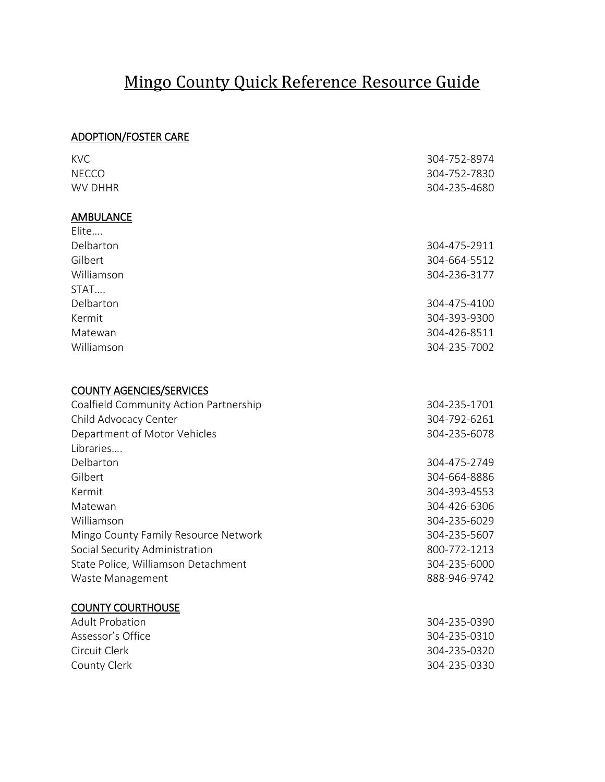# Mingo County Quick Reference Resource Guide

# ADOPTION/FOSTER CARE

| <b>KVC</b>                             | 304-752-8974 |
|----------------------------------------|--------------|
| <b>NECCO</b>                           | 304-752-7830 |
| <b>WV DHHR</b>                         | 304-235-4680 |
| <b>AMBULANCE</b>                       |              |
| Elite                                  |              |
| Delbarton                              | 304-475-2911 |
| Gilbert                                | 304-664-5512 |
| Williamson                             | 304-236-3177 |
| STAT                                   |              |
| Delbarton                              | 304-475-4100 |
| Kermit                                 | 304-393-9300 |
| Matewan                                | 304-426-8511 |
| Williamson                             | 304-235-7002 |
| <b>COUNTY AGENCIES/SERVICES</b>        |              |
| Coalfield Community Action Partnership | 304-235-1701 |
| Child Advocacy Center                  | 304-792-6261 |
| Department of Motor Vehicles           | 304-235-6078 |
| Libraries                              |              |
| Delbarton                              | 304-475-2749 |
| Gilbert                                | 304-664-8886 |
| Kermit                                 | 304-393-4553 |
| Matewan                                | 304-426-6306 |
| Williamson                             | 304-235-6029 |
| Mingo County Family Resource Network   | 304-235-5607 |
| Social Security Administration         | 800-772-1213 |
| State Police, Williamson Detachment    | 304-235-6000 |
| Waste Management                       | 888-946-9742 |
| <b>COUNTY COURTHOUSE</b>               |              |
| <b>Adult Probation</b>                 | 304-235-0390 |
| Assessor's Office                      | 304-235-0310 |
| Circuit Clerk                          | 304-235-0320 |
| County Clerk                           | 304-235-0330 |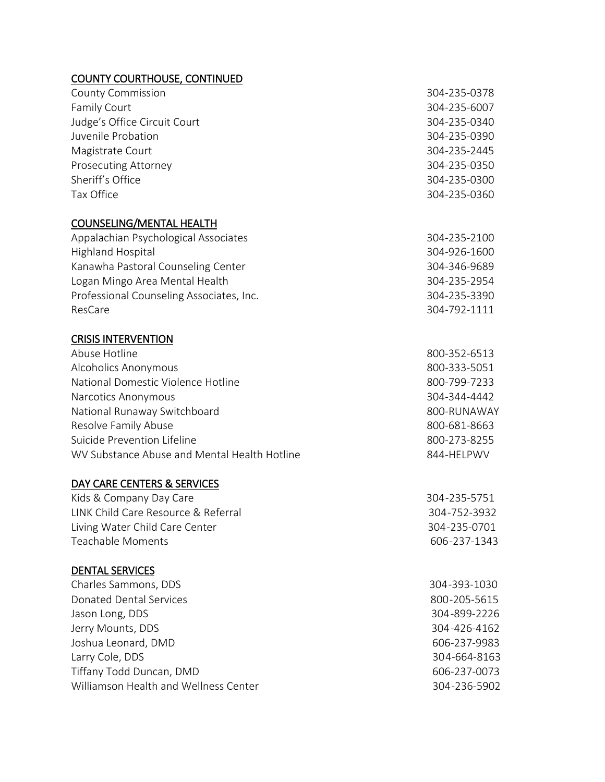### COUNTY COURTHOUSE, CONTINUED

| <b>County Commission</b>                 | 304-235-0378 |
|------------------------------------------|--------------|
| <b>Family Court</b>                      | 304-235-6007 |
| Judge's Office Circuit Court             | 304-235-0340 |
| Juvenile Probation                       | 304-235-0390 |
| Magistrate Court                         | 304-235-2445 |
| <b>Prosecuting Attorney</b>              | 304-235-0350 |
| Sheriff's Office                         | 304-235-0300 |
| Tax Office                               | 304-235-0360 |
| <b>COUNSELING/MENTAL HEALTH</b>          |              |
| Appalachian Psychological Associates     | 304-235-2100 |
| <b>Highland Hospital</b>                 | 304-926-1600 |
| Kanawha Pastoral Counseling Center       | 304-346-9689 |
| Logan Mingo Area Mental Health           | 304-235-2954 |
| Professional Counseling Associates, Inc. | 304-235-3390 |

CRISIS INTERVENTION

| Abuse Hotline                                | 800-352-6513 |
|----------------------------------------------|--------------|
| Alcoholics Anonymous                         | 800-333-5051 |
| National Domestic Violence Hotline           | 800-799-7233 |
| Narcotics Anonymous                          | 304-344-4442 |
| National Runaway Switchboard                 | 800-RUNAWAY  |
| Resolve Family Abuse                         | 800-681-8663 |
| Suicide Prevention Lifeline                  | 800-273-8255 |
| WV Substance Abuse and Mental Health Hotline | 844-HELPWV   |

ResCare 304-792-1111

#### DAY CARE CENTERS & SERVICES

| Kids & Company Day Care             | 304-235-5751 |
|-------------------------------------|--------------|
| LINK Child Care Resource & Referral | 304-752-3932 |
| Living Water Child Care Center      | 304-235-0701 |
| Teachable Moments                   | 606-237-1343 |

# DENTAL SERVICES

| Charles Sammons, DDS                  | 304-393-1030 |
|---------------------------------------|--------------|
| Donated Dental Services               | 800-205-5615 |
| Jason Long, DDS                       | 304-899-2226 |
| Jerry Mounts, DDS                     | 304-426-4162 |
| Joshua Leonard, DMD                   | 606-237-9983 |
| Larry Cole, DDS                       | 304-664-8163 |
| Tiffany Todd Duncan, DMD              | 606-237-0073 |
| Williamson Health and Wellness Center | 304-236-5902 |
|                                       |              |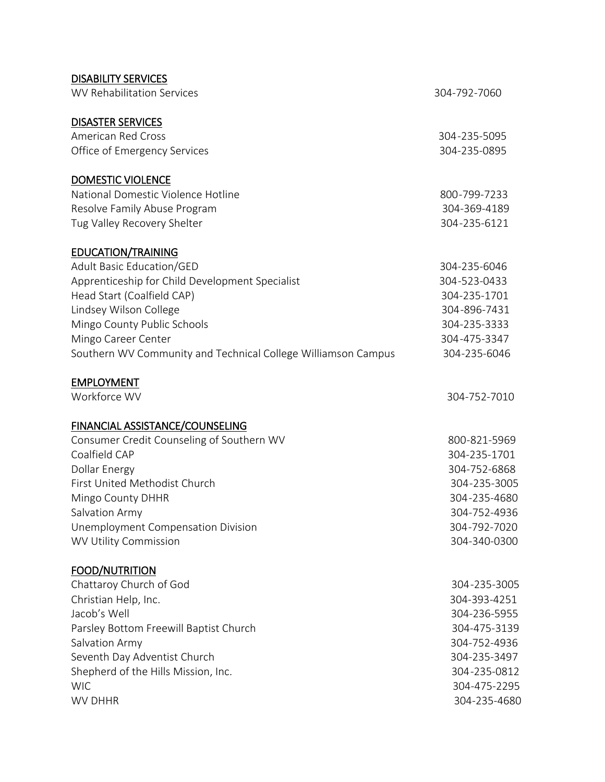| <b>DISABILITY SERVICES</b>                                    |              |
|---------------------------------------------------------------|--------------|
| <b>WV Rehabilitation Services</b>                             | 304-792-7060 |
| <b>DISASTER SERVICES</b>                                      |              |
| <b>American Red Cross</b>                                     | 304-235-5095 |
| Office of Emergency Services                                  | 304-235-0895 |
| <b>DOMESTIC VIOLENCE</b>                                      |              |
| National Domestic Violence Hotline                            | 800-799-7233 |
| Resolve Family Abuse Program                                  | 304-369-4189 |
| Tug Valley Recovery Shelter                                   | 304-235-6121 |
| <b>EDUCATION/TRAINING</b>                                     |              |
| <b>Adult Basic Education/GED</b>                              | 304-235-6046 |
| Apprenticeship for Child Development Specialist               | 304-523-0433 |
| Head Start (Coalfield CAP)                                    | 304-235-1701 |
| Lindsey Wilson College                                        | 304-896-7431 |
| Mingo County Public Schools                                   | 304-235-3333 |
| Mingo Career Center                                           | 304-475-3347 |
| Southern WV Community and Technical College Williamson Campus | 304-235-6046 |
| <b>EMPLOYMENT</b>                                             |              |
| Workforce WV                                                  | 304-752-7010 |
| <b>FINANCIAL ASSISTANCE/COUNSELING</b>                        |              |
| Consumer Credit Counseling of Southern WV                     | 800-821-5969 |
| Coalfield CAP                                                 | 304-235-1701 |
| <b>Dollar Energy</b>                                          | 304-752-6868 |
| First United Methodist Church                                 | 304-235-3005 |
| Mingo County DHHR                                             | 304-235-4680 |
| Salvation Army                                                | 304-752-4936 |
| Unemployment Compensation Division                            | 304-792-7020 |
| <b>WV Utility Commission</b>                                  | 304-340-0300 |
| <b>FOOD/NUTRITION</b>                                         |              |
| Chattaroy Church of God                                       | 304-235-3005 |
| Christian Help, Inc.                                          | 304-393-4251 |
| Jacob's Well                                                  | 304-236-5955 |
| Parsley Bottom Freewill Baptist Church                        | 304-475-3139 |
| Salvation Army                                                | 304-752-4936 |
| Seventh Day Adventist Church                                  | 304-235-3497 |
| Shepherd of the Hills Mission, Inc.                           | 304-235-0812 |
| <b>WIC</b>                                                    | 304-475-2295 |
| <b>WV DHHR</b>                                                | 304-235-4680 |
|                                                               |              |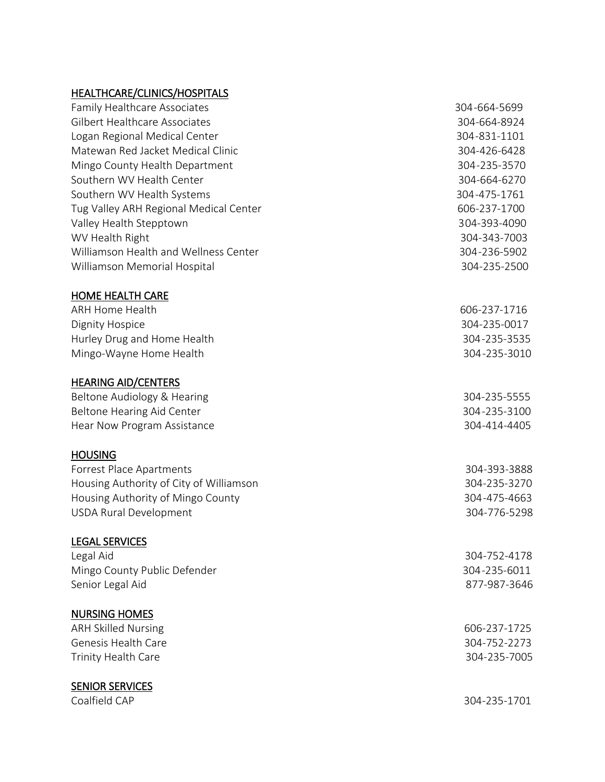## HEALTHCARE/CLINICS/HOSPITALS

| <b>Family Healthcare Associates</b>     | 304-664-5699 |
|-----------------------------------------|--------------|
| Gilbert Healthcare Associates           | 304-664-8924 |
| Logan Regional Medical Center           | 304-831-1101 |
| Matewan Red Jacket Medical Clinic       | 304-426-6428 |
| Mingo County Health Department          | 304-235-3570 |
| Southern WV Health Center               | 304-664-6270 |
| Southern WV Health Systems              | 304-475-1761 |
| Tug Valley ARH Regional Medical Center  | 606-237-1700 |
| Valley Health Stepptown                 | 304-393-4090 |
| WV Health Right                         | 304-343-7003 |
| Williamson Health and Wellness Center   | 304-236-5902 |
| Williamson Memorial Hospital            | 304-235-2500 |
| <b>HOME HEALTH CARE</b>                 |              |
| <b>ARH Home Health</b>                  | 606-237-1716 |
| Dignity Hospice                         | 304-235-0017 |
| Hurley Drug and Home Health             | 304-235-3535 |
| Mingo-Wayne Home Health                 | 304-235-3010 |
| <b>HEARING AID/CENTERS</b>              |              |
| Beltone Audiology & Hearing             | 304-235-5555 |
| Beltone Hearing Aid Center              | 304-235-3100 |
| Hear Now Program Assistance             | 304-414-4405 |
| <b>HOUSING</b>                          |              |
| Forrest Place Apartments                | 304-393-3888 |
| Housing Authority of City of Williamson | 304-235-3270 |
| Housing Authority of Mingo County       | 304-475-4663 |
| <b>USDA Rural Development</b>           | 304-776-5298 |
| <b>LEGAL SERVICES</b>                   |              |
| Legal Aid                               | 304-752-4178 |
| Mingo County Public Defender            | 304-235-6011 |
| Senior Legal Aid                        | 877-987-3646 |
| <b>NURSING HOMES</b>                    |              |
| <b>ARH Skilled Nursing</b>              | 606-237-1725 |
| Genesis Health Care                     | 304-752-2273 |
| Trinity Health Care                     | 304-235-7005 |
| <b>SENIOR SERVICES</b>                  |              |
| Coalfield CAP                           | 304-235-1701 |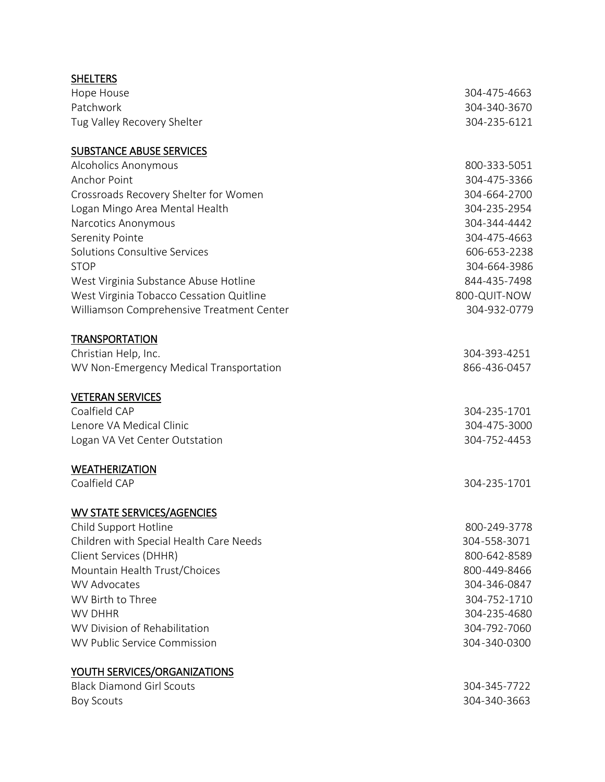| <b>SHELTERS</b>                           |              |
|-------------------------------------------|--------------|
| Hope House                                | 304-475-4663 |
| Patchwork                                 | 304-340-3670 |
| Tug Valley Recovery Shelter               | 304-235-6121 |
| <b>SUBSTANCE ABUSE SERVICES</b>           |              |
| Alcoholics Anonymous                      | 800-333-5051 |
| <b>Anchor Point</b>                       | 304-475-3366 |
| Crossroads Recovery Shelter for Women     | 304-664-2700 |
| Logan Mingo Area Mental Health            | 304-235-2954 |
| Narcotics Anonymous                       | 304-344-4442 |
| Serenity Pointe                           | 304-475-4663 |
| Solutions Consultive Services             | 606-653-2238 |
| <b>STOP</b>                               | 304-664-3986 |
| West Virginia Substance Abuse Hotline     | 844-435-7498 |
| West Virginia Tobacco Cessation Quitline  | 800-QUIT-NOW |
| Williamson Comprehensive Treatment Center | 304-932-0779 |
| <b>TRANSPORTATION</b>                     |              |
| Christian Help, Inc.                      | 304-393-4251 |
| WV Non-Emergency Medical Transportation   | 866-436-0457 |
| <b>VETERAN SERVICES</b>                   |              |
| Coalfield CAP                             | 304-235-1701 |
| Lenore VA Medical Clinic                  | 304-475-3000 |
| Logan VA Vet Center Outstation            | 304-752-4453 |
| <b>WEATHERIZATION</b>                     |              |
| Coalfield CAP                             | 304-235-1701 |
| <b>WV STATE SERVICES/AGENCIES</b>         |              |
| Child Support Hotline                     | 800-249-3778 |
| Children with Special Health Care Needs   | 304-558-3071 |
| Client Services (DHHR)                    | 800-642-8589 |
| Mountain Health Trust/Choices             | 800-449-8466 |
| <b>WV Advocates</b>                       | 304-346-0847 |
| WV Birth to Three                         | 304-752-1710 |
| <b>WV DHHR</b>                            | 304-235-4680 |
| WV Division of Rehabilitation             | 304-792-7060 |
| <b>WV Public Service Commission</b>       | 304-340-0300 |
| <b>YOUTH SERVICES/ORGANIZATIONS</b>       |              |
| <b>Black Diamond Girl Scouts</b>          | 304-345-7722 |
| <b>Boy Scouts</b>                         | 304-340-3663 |